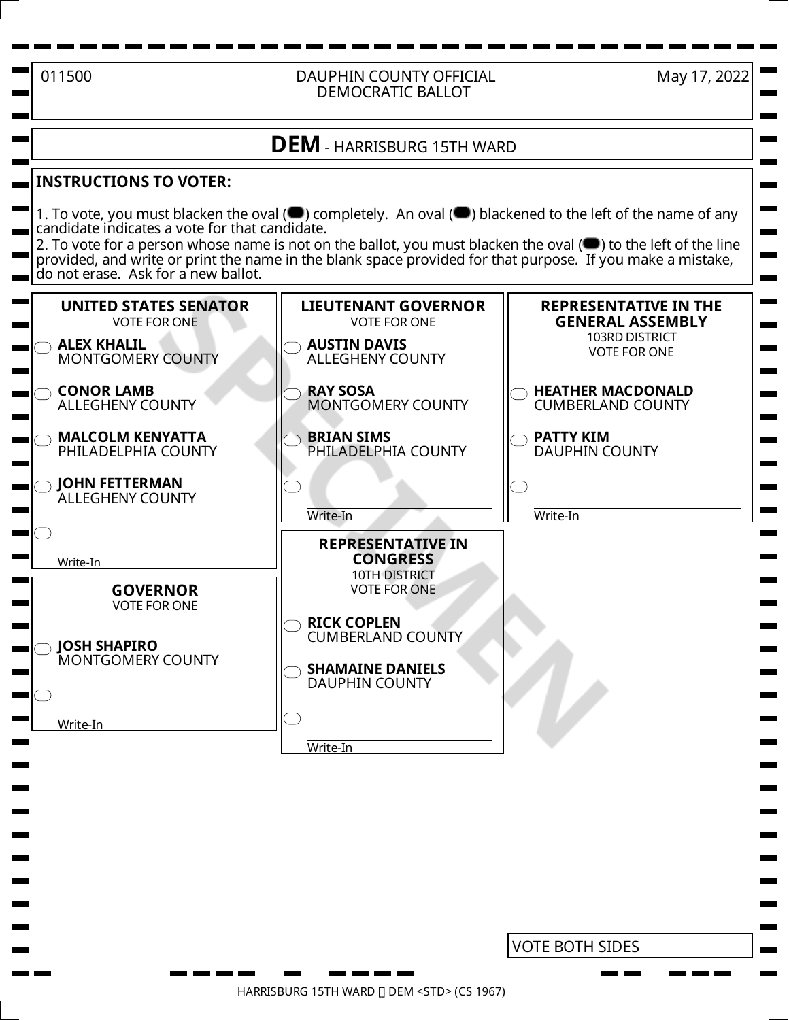## 011500 DAUPHIN COUNTY OFFICIAL DEMOCRATIC BALLOT

May 17, 2022

## **DEM** - HARRISBURG 15TH WARD

## **INSTRUCTIONS TO VOTER:**

1. To vote, you must blacken the oval ( $\blacksquare$ ) completely. An oval ( $\blacksquare$ ) blackened to the left of the name of any candidate indicates a vote for that candidate.

2. To vote for a person whose name is not on the ballot, you must blacken the oval  $(\bullet)$  to the left of the line provided, and write or print the name in the blank space provided for that purpose. If you make a mistake, do not erase. Ask for a new ballot.



VOTE BOTH SIDES